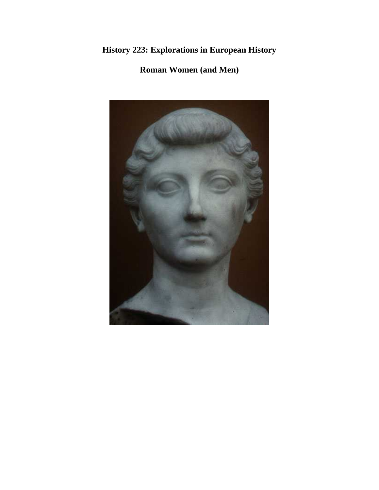# **History 223: Explorations in European History**

# **Roman Women (and Men)**

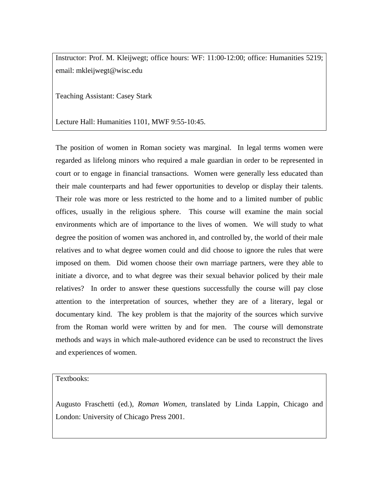Instructor: Prof. M. Kleijwegt; office hours: WF: 11:00-12:00; office: Humanities 5219; email: mkleijwegt@wisc.edu

Teaching Assistant: Casey Stark

Lecture Hall: Humanities 1101, MWF 9:55-10:45.

The position of women in Roman society was marginal. In legal terms women were regarded as lifelong minors who required a male guardian in order to be represented in court or to engage in financial transactions. Women were generally less educated than their male counterparts and had fewer opportunities to develop or display their talents. Their role was more or less restricted to the home and to a limited number of public offices, usually in the religious sphere. This course will examine the main social environments which are of importance to the lives of women. We will study to what degree the position of women was anchored in, and controlled by, the world of their male relatives and to what degree women could and did choose to ignore the rules that were imposed on them. Did women choose their own marriage partners, were they able to initiate a divorce, and to what degree was their sexual behavior policed by their male relatives? In order to answer these questions successfully the course will pay close attention to the interpretation of sources, whether they are of a literary, legal or documentary kind. The key problem is that the majority of the sources which survive from the Roman world were written by and for men. The course will demonstrate methods and ways in which male-authored evidence can be used to reconstruct the lives and experiences of women.

Textbooks:

Augusto Fraschetti (ed.), *Roman Women*, translated by Linda Lappin, Chicago and London: University of Chicago Press 2001.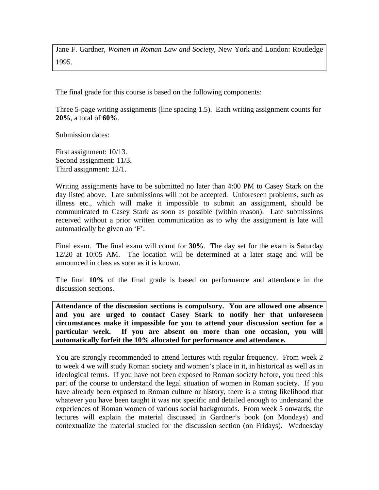Jane F. Gardner, *Women in Roman Law and Society*, New York and London: Routledge 1995.

The final grade for this course is based on the following components:

Three 5-page writing assignments (line spacing 1.5). Each writing assignment counts for **20%**, a total of **60%**.

Submission dates:

First assignment: 10/13. Second assignment: 11/3. Third assignment: 12/1.

Writing assignments have to be submitted no later than 4:00 PM to Casey Stark on the day listed above. Late submissions will not be accepted. Unforeseen problems, such as illness etc., which will make it impossible to submit an assignment, should be communicated to Casey Stark as soon as possible (within reason). Late submissions received without a prior written communication as to why the assignment is late will automatically be given an 'F'.

Final exam. The final exam will count for **30%**. The day set for the exam is Saturday 12/20 at 10:05 AM. The location will be determined at a later stage and will be announced in class as soon as it is known.

The final **10%** of the final grade is based on performance and attendance in the discussion sections.

**Attendance of the discussion sections is compulsory. You are allowed one absence and you are urged to contact Casey Stark to notify her that unforeseen circumstances make it impossible for you to attend your discussion section for a particular week. If you are absent on more than one occasion, you will automatically forfeit the 10% allocated for performance and attendance.** 

You are strongly recommended to attend lectures with regular frequency. From week 2 to week 4 we will study Roman society and women's place in it, in historical as well as in ideological terms. If you have not been exposed to Roman society before, you need this part of the course to understand the legal situation of women in Roman society. If you have already been exposed to Roman culture or history, there is a strong likelihood that whatever you have been taught it was not specific and detailed enough to understand the experiences of Roman women of various social backgrounds. From week 5 onwards, the lectures will explain the material discussed in Gardner's book (on Mondays) and contextualize the material studied for the discussion section (on Fridays). Wednesday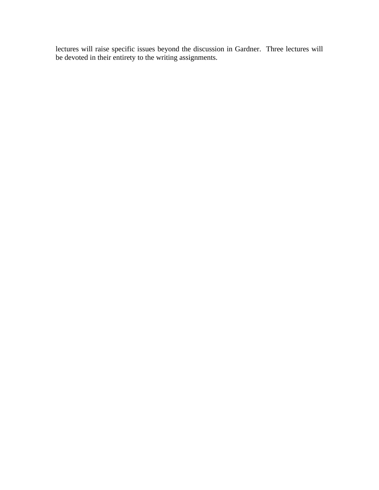lectures will raise specific issues beyond the discussion in Gardner. Three lectures will be devoted in their entirety to the writing assignments.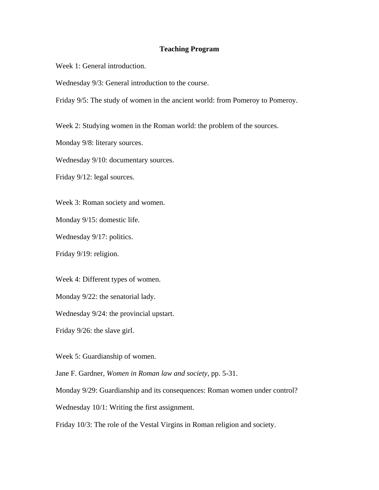### **Teaching Program**

Week 1: General introduction.

Wednesday 9/3: General introduction to the course.

Friday 9/5: The study of women in the ancient world: from Pomeroy to Pomeroy.

Week 2: Studying women in the Roman world: the problem of the sources.

Monday 9/8: literary sources.

Wednesday 9/10: documentary sources.

Friday 9/12: legal sources.

Week 3: Roman society and women.

Monday 9/15: domestic life.

Wednesday 9/17: politics.

Friday 9/19: religion.

Week 4: Different types of women.

Monday 9/22: the senatorial lady.

Wednesday 9/24: the provincial upstart.

Friday 9/26: the slave girl.

Week 5: Guardianship of women.

Jane F. Gardner, *Women in Roman law and society*, pp. 5-31.

Monday 9/29: Guardianship and its consequences: Roman women under control?

Wednesday 10/1: Writing the first assignment.

Friday 10/3: The role of the Vestal Virgins in Roman religion and society.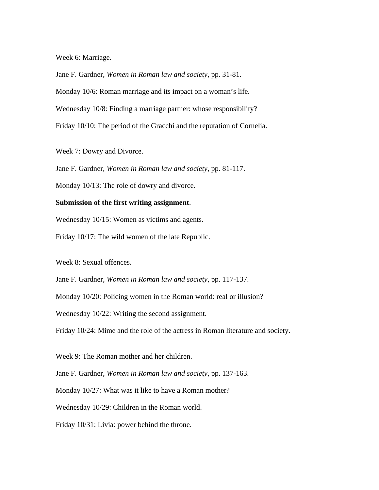Week 6: Marriage.

Jane F. Gardner, *Women in Roman law and society*, pp. 31-81. Monday 10/6: Roman marriage and its impact on a woman's life. Wednesday 10/8: Finding a marriage partner: whose responsibility? Friday 10/10: The period of the Gracchi and the reputation of Cornelia.

Week 7: Dowry and Divorce.

Jane F. Gardner, *Women in Roman law and society*, pp. 81-117.

Monday 10/13: The role of dowry and divorce.

#### **Submission of the first writing assignment**.

Wednesday 10/15: Women as victims and agents.

Friday 10/17: The wild women of the late Republic.

Week 8: Sexual offences.

Jane F. Gardner, *Women in Roman law and society*, pp. 117-137.

Monday 10/20: Policing women in the Roman world: real or illusion?

Wednesday 10/22: Writing the second assignment.

Friday 10/24: Mime and the role of the actress in Roman literature and society.

Week 9: The Roman mother and her children.

Jane F. Gardner, *Women in Roman law and society*, pp. 137-163.

Monday 10/27: What was it like to have a Roman mother?

Wednesday 10/29: Children in the Roman world.

Friday 10/31: Livia: power behind the throne.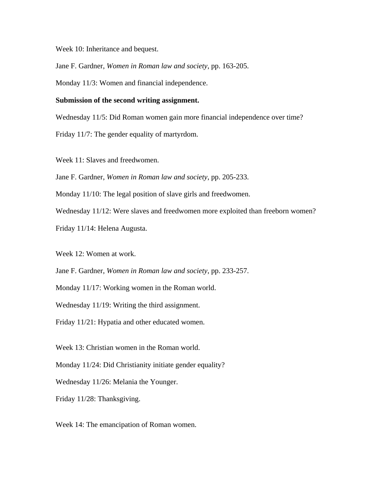Week 10: Inheritance and bequest.

Jane F. Gardner, *Women in Roman law and society*, pp. 163-205.

Monday 11/3: Women and financial independence.

#### **Submission of the second writing assignment.**

Wednesday 11/5: Did Roman women gain more financial independence over time?

Friday 11/7: The gender equality of martyrdom.

Week 11: Slaves and freedwomen.

Jane F. Gardner, *Women in Roman law and society*, pp. 205-233.

Monday 11/10: The legal position of slave girls and freedwomen.

Wednesday 11/12: Were slaves and freedwomen more exploited than freeborn women?

Friday 11/14: Helena Augusta.

Week 12: Women at work.

Jane F. Gardner, *Women in Roman law and society*, pp. 233-257.

Monday 11/17: Working women in the Roman world.

Wednesday 11/19: Writing the third assignment.

Friday 11/21: Hypatia and other educated women.

Week 13: Christian women in the Roman world.

Monday 11/24: Did Christianity initiate gender equality?

Wednesday 11/26: Melania the Younger.

Friday 11/28: Thanksgiving.

Week 14: The emancipation of Roman women.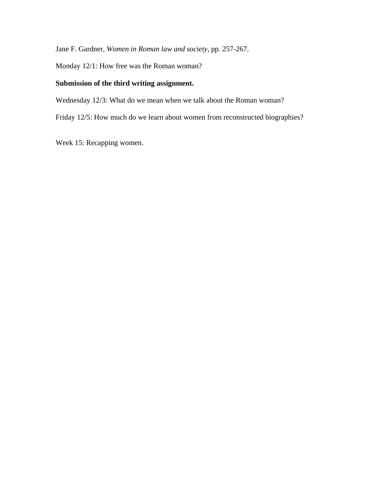Jane F. Gardner, *Women in Roman law and society*, pp. 257-267.

Monday 12/1: How free was the Roman woman?

### **Submission of the third writing assignment.**

Wednesday 12/3: What do we mean when we talk about the Roman woman?

Friday 12/5: How much do we learn about women from reconstructed biographies?

Week 15: Recapping women.